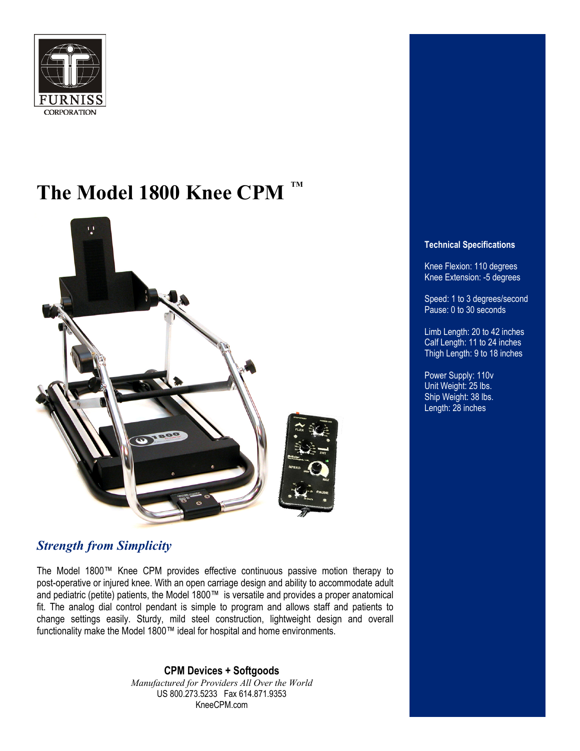

# **The Model 1800 Knee CPM TM**



# *Strength from Simplicity*

The Model 1800™ Knee CPM provides effective continuous passive motion therapy to post-operative or injured knee. With an open carriage design and ability to accommodate adult and pediatric (petite) patients, the Model 1800™ is versatile and provides a proper anatomical fit. The analog dial control pendant is simple to program and allows staff and patients to change settings easily. Sturdy, mild steel construction, lightweight design and overall functionality make the Model 1800™ ideal for hospital and home environments.

> **CPM Devices + Softgoods** *Manufactured for Providers All Over the World*  US 800.273.5233 Fax 614.871.9353 KneeCPM.com

### **Technical Specifications**

Knee Flexion: 110 degrees Knee Extension: -5 degrees

Speed: 1 to 3 degrees/second Pause: 0 to 30 seconds

Limb Length: 20 to 42 inches Calf Length: 11 to 24 inches Thigh Length: 9 to 18 inches

Power Supply: 110v Unit Weight: 25 lbs. Ship Weight: 38 lbs. Length: 28 inches